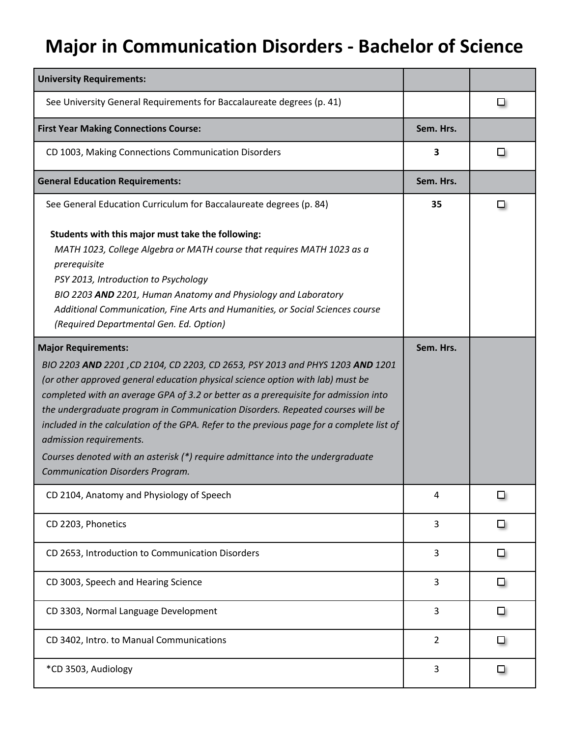## **Major in Communication Disorders - Bachelor of Science**

| <b>University Requirements:</b>                                                                                                                                                                                                                                                                                                                                                                                                                                                                                                                                                                                      |                |   |
|----------------------------------------------------------------------------------------------------------------------------------------------------------------------------------------------------------------------------------------------------------------------------------------------------------------------------------------------------------------------------------------------------------------------------------------------------------------------------------------------------------------------------------------------------------------------------------------------------------------------|----------------|---|
| See University General Requirements for Baccalaureate degrees (p. 41)                                                                                                                                                                                                                                                                                                                                                                                                                                                                                                                                                |                | ப |
| <b>First Year Making Connections Course:</b>                                                                                                                                                                                                                                                                                                                                                                                                                                                                                                                                                                         | Sem. Hrs.      |   |
| CD 1003, Making Connections Communication Disorders                                                                                                                                                                                                                                                                                                                                                                                                                                                                                                                                                                  | 3              | ப |
| <b>General Education Requirements:</b>                                                                                                                                                                                                                                                                                                                                                                                                                                                                                                                                                                               | Sem. Hrs.      |   |
| See General Education Curriculum for Baccalaureate degrees (p. 84)                                                                                                                                                                                                                                                                                                                                                                                                                                                                                                                                                   | 35             | ப |
| Students with this major must take the following:<br>MATH 1023, College Algebra or MATH course that requires MATH 1023 as a<br>prerequisite<br>PSY 2013, Introduction to Psychology<br>BIO 2203 AND 2201, Human Anatomy and Physiology and Laboratory<br>Additional Communication, Fine Arts and Humanities, or Social Sciences course<br>(Required Departmental Gen. Ed. Option)                                                                                                                                                                                                                                    |                |   |
| <b>Major Requirements:</b><br>BIO 2203 AND 2201, CD 2104, CD 2203, CD 2653, PSY 2013 and PHYS 1203 AND 1201<br>(or other approved general education physical science option with lab) must be<br>completed with an average GPA of 3.2 or better as a prerequisite for admission into<br>the undergraduate program in Communication Disorders. Repeated courses will be<br>included in the calculation of the GPA. Refer to the previous page for a complete list of<br>admission requirements.<br>Courses denoted with an asterisk (*) require admittance into the undergraduate<br>Communication Disorders Program. | Sem. Hrs.      |   |
| CD 2104, Anatomy and Physiology of Speech                                                                                                                                                                                                                                                                                                                                                                                                                                                                                                                                                                            | 4              |   |
| CD 2203, Phonetics                                                                                                                                                                                                                                                                                                                                                                                                                                                                                                                                                                                                   | 3              | ▫ |
| CD 2653, Introduction to Communication Disorders                                                                                                                                                                                                                                                                                                                                                                                                                                                                                                                                                                     | 3              | ◻ |
| CD 3003, Speech and Hearing Science                                                                                                                                                                                                                                                                                                                                                                                                                                                                                                                                                                                  | 3              | ◘ |
| CD 3303, Normal Language Development                                                                                                                                                                                                                                                                                                                                                                                                                                                                                                                                                                                 | 3              | ◘ |
| CD 3402, Intro. to Manual Communications                                                                                                                                                                                                                                                                                                                                                                                                                                                                                                                                                                             | $\overline{2}$ | ш |
| *CD 3503, Audiology                                                                                                                                                                                                                                                                                                                                                                                                                                                                                                                                                                                                  | 3              | ◻ |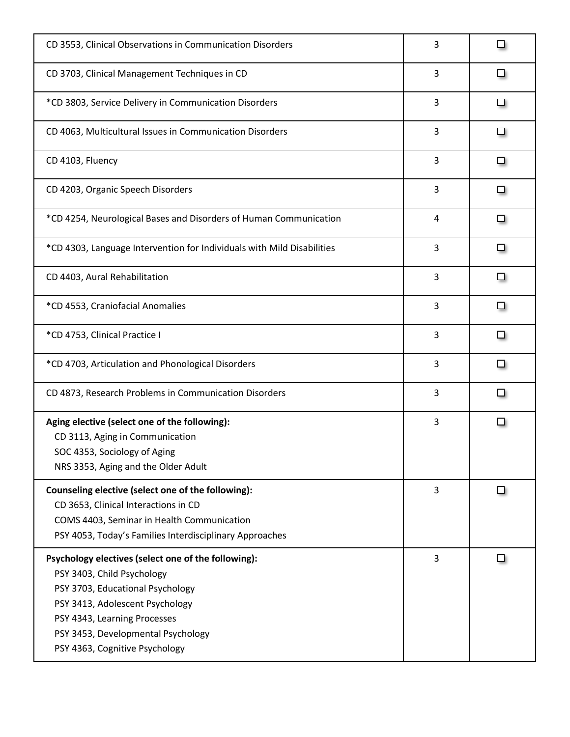| CD 3553, Clinical Observations in Communication Disorders                                                                                                                                                                                                        | 3 | □ |
|------------------------------------------------------------------------------------------------------------------------------------------------------------------------------------------------------------------------------------------------------------------|---|---|
| CD 3703, Clinical Management Techniques in CD                                                                                                                                                                                                                    | 3 | ▫ |
| *CD 3803, Service Delivery in Communication Disorders                                                                                                                                                                                                            | 3 | □ |
| CD 4063, Multicultural Issues in Communication Disorders                                                                                                                                                                                                         | 3 | □ |
| CD 4103, Fluency                                                                                                                                                                                                                                                 | 3 | □ |
| CD 4203, Organic Speech Disorders                                                                                                                                                                                                                                | 3 | ❏ |
| *CD 4254, Neurological Bases and Disorders of Human Communication                                                                                                                                                                                                | 4 | ▫ |
| *CD 4303, Language Intervention for Individuals with Mild Disabilities                                                                                                                                                                                           | 3 | ◻ |
| CD 4403, Aural Rehabilitation                                                                                                                                                                                                                                    | 3 | □ |
| *CD 4553, Craniofacial Anomalies                                                                                                                                                                                                                                 | 3 | □ |
| *CD 4753, Clinical Practice I                                                                                                                                                                                                                                    | 3 | ❏ |
| *CD 4703, Articulation and Phonological Disorders                                                                                                                                                                                                                | 3 | ❏ |
| CD 4873, Research Problems in Communication Disorders                                                                                                                                                                                                            | 3 | □ |
| Aging elective (select one of the following):<br>CD 3113, Aging in Communication<br>SOC 4353, Sociology of Aging<br>NRS 3353, Aging and the Older Adult                                                                                                          | 3 | □ |
| Counseling elective (select one of the following):<br>CD 3653, Clinical Interactions in CD<br>COMS 4403, Seminar in Health Communication<br>PSY 4053, Today's Families Interdisciplinary Approaches                                                              | 3 | ◘ |
| Psychology electives (select one of the following):<br>PSY 3403, Child Psychology<br>PSY 3703, Educational Psychology<br>PSY 3413, Adolescent Psychology<br>PSY 4343, Learning Processes<br>PSY 3453, Developmental Psychology<br>PSY 4363, Cognitive Psychology | 3 | ❏ |